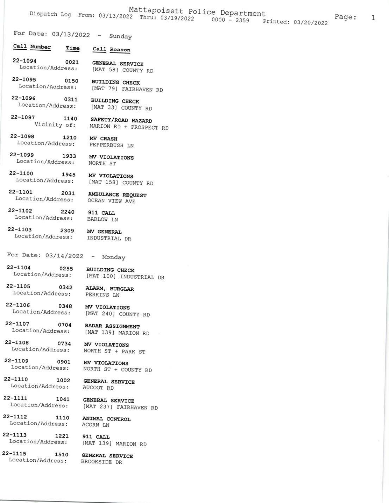For Date:  $03/13/2022 -$  Sunday

- Call Number Time Call Reason
- $22 1094$ 0021 GENERAL SERVICE Location/Address: [MAT 58] COUNTY RD
- $22 1095$ 0150 **BUILDING CHECK** Location/Address: [MAT 79] FAIRHAVEN RD
- $22 1096$ 0311 BUILDING CHECK Location/Address: [MAT 33] COUNTY RD
- $22 1097$ 1140 SAFETY/ROAD HAZARD Vicinity of: MARION RD + PROSPECT RD
- $22 1098$ 1210 Location/Address:
- $22 1099$ 1933 Location/Address: NORTH ST
	- MV VIOLATIONS

MV CRASH

911 CALL

**BARLOW LN** 

MV GENERAL

INDUSTRIAL DR

PEPPERBUSH LN

- $22 1100$ 1945 MV VIOLATIONS Location/Address: [MAT 158] COUNTY RD
- $22 1101$ 2031 AMBULANCE REQUEST Location/Address: OCEAN VIEW AVE
- $22 1102$ 2240 Location/Address:
- $22 1103$ 2309 Location/Address:
	-
- For Date:  $03/14/2022$  Monday
- $22 1104$ 0255 **BUILDING CHECK** Location/Address: [MAT 100] INDUSTRIAL DR
	- 0342 ALARM, BURGLAR Location/Address: PERKINS LN

[MAT 240] COUNTY RD

[MAT 139] MARION RD

RADAR ASSIGNMENT

NORTH ST + PARK ST

NORTH ST + COUNTY RD

[MAT 237] FAIRHAVEN RD

MV VIOLATIONS

MV VIOLATIONS

**GENERAL SERVICE** 

GENERAL SERVICE

AUCOOT RD

 $22 - 1106$ 0348 MV VIOLATIONS Location/Address:

 $22 - 1105$ 

- $22 1107$ 0704 Location/Address:
- $22 1108$ 0734 Location/Address:
- $22 1109$
- 0901 Location/Address:
- $22 1110$ 1002 Location/Address:
- $22 1111$ 1041 Location/Address:
- $22 1112$ 1110 Location/Address:
- $22 1113$ 1221
- Location/Address:
- $22 1115$ 1510 Location/Address:
- ANIMAL CONTROL **ACORN LN** 911 CALL
- [MAT 139] MARION RD
	- GENERAL SERVICE BROOKSIDE DR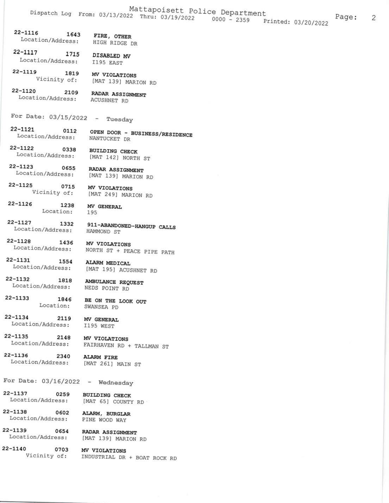Mattapoisett Police Department Dispatch Log From: 03/13/2022 Thru: 03/19/2022

 $\overline{2}$ 

- $22 1116$ 1643 FIRE, OTHER Location/Address: HIGH RIDGE DR
- $22 1117$ 1715 DISABLED MV Location/Address: I195 EAST
- $22 1119$ 1819 MV VIOLATIONS
	- Vicinity of: [MAT 139] MARION RD
- $22 1120$ 2109 RADAR ASSIGNMENT Location/Address: **ACUSHNET RD**
- For Date:  $03/15/2022 Tuesday$
- 22-1121 0112 OPEN DOOR - BUSINESS/RESIDENCE Location/Address: NANTUCKET DR
- 22-1122 0338 BUILDING CHECK Location/Address: [MAT 142] NORTH ST
- $22 1123$ Location/Address:
	- 0655 RADAR ASSIGNMENT [MAT 139] MARION RD
- $22 1125$ 0715 MV VIOLATIONS Vicinity of: [MAT 249] MARION RD
	- 1238 MV GENERAL Location: 195
- $22 1127$ 1332 911-ABANDONED-HANGUP CALLS Location/Address: HAMMOND ST

 $22 - 1126$ 

22-1133

 $22 - 1134$ 

 $22 - 1138$ 

- $22 1128$ 1436 MV VIOLATIONS Location/Address: NORTH ST + PEACE PIPE PATH
- $22 1131$ 
	- 1554 ALARM MEDICAL Location/Address: [MAT 195] ACUSHNET RD
- $22 1132$ 1818 Location/Address:
	- NEDS POINT RD 1846 BE ON THE LOOK OUT
	- Location: SWANSEA PD
	- 2119 MV GENERAL Location/Address: I195 WEST
- $22 1135$ 2148 MV VIOLATIONS Location/Address: FAIRHAVEN RD + TALLMAN ST
- $22 1136$ 2340
	- **ALARM FIRE** Location/Address: [MAT 261] MAIN ST

AMBULANCE REQUEST

- For Date:  $03/16/2022 -$  Wednesday
- $22 1137$ 0259 **BUILDING CHECK** Location/Address: [MAT 65] COUNTY RD
	- 0602 ALARM, BURGLAR Location/Address: PINE WOOD WAY
- $22 1139$ 0654 RADAR ASSIGNMENT Location/Address: [MAT 139] MARION RD
- $22 1140$ 0703 MV VIOLATIONS Vicinity of: INDUSTRIAL DR + BOAT ROCK RD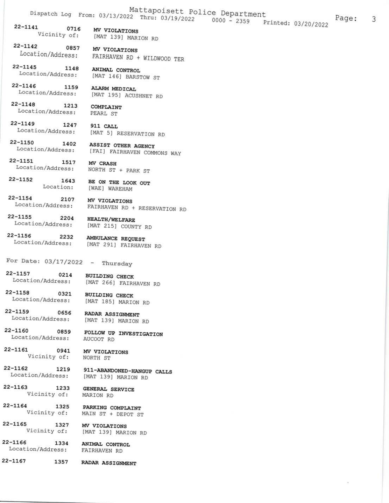Mattapoisett Police Department Dispatch Log From: 03/13/2022 Thru: 03/19/2022 0000 - 2359

0716 MV VIOLATIONS Vicinity of: [MAT 139] MARION RD

 $22 - 1142$ 0857 MV VIOLATIONS Location/Address: FAIRHAVEN RD + WILDWOOD TER

 $22 - 1145$ 1148 ANIMAL CONTROL Location/Address: [MAT 146] BARSTOW ST

 $22 - 1146$ 1159 ALARM MEDICAL Location/Address: [MAT 195] ACUSHNET RD

 $22 - 1148$ 1213 Location/Address:

 $22 - 1141$ 

 $22 - 1149$ 

 $22 - 1150$ 

 $22 - 1154$ 

 $22 - 1158$ 

22-1161

 $22 - 1162$ 

 $22 - 1163$ 

 $22 - 1164$ 

COMPLAINT PEARL ST

1247 911 CALL Location/Address: [MAT 5] RESERVATION RD

1402 ASSIST OTHER AGENCY Location/Address: [FAI] FAIRHAVEN COMMONS WAY

 $22 - 1151$ 1517 MV CRASH Location/Address: NORTH ST + PARK ST

22-1152 1643 BE ON THE LOOK OUT Location: [WAE] WAREHAM

2107 MV VIOLATIONS Location/Address: FAIRHAVEN RD + RESERVATION RD

 $22 - 1155$ 2204 HEALTH/WELFARE Location/Address: [MAT 215] COUNTY RD

 $22 - 1156$ 2232 AMBULANCE REQUEST Location/Address: [MAT 291] FAIRHAVEN RD

For Date:  $03/17/2022$  - Thursday

 $22 - 1157$ 0214 **BUILDING CHECK** Location/Address: [MAT 266] FAIRHAVEN RD

0321 **BUILDING CHECK** Location/Address: [MAT 185] MARION RD

 $22 - 1159$ 0656 RADAR ASSIGNMENT Location/Address: [MAT 139] MARION RD

 $22 - 1160$ 0859 FOLLOW UP INVESTIGATION Location/Address: AUCOOT RD

> 0941 MV VIOLATIONS Vicinity of: NORTH ST

1219 911-ABANDONED-HANGUP CALLS Location/Address: [MAT 139] MARION RD

> **GENERAL SERVICE** MARION RD

1325 PARKING COMPLAINT Vicinity of: MAIN ST + DEPOT ST

 $22 - 1165$ 1327 MV VIOLATIONS Vicinity of: [MAT 139] MARION RD

1233

Vicinity of:

 $22 - 1166$ 1334 Location/Address:

22-1167 1357

ANIMAL CONTROL FAIRHAVEN RD RADAR ASSIGNMENT Printed: 03/20/2022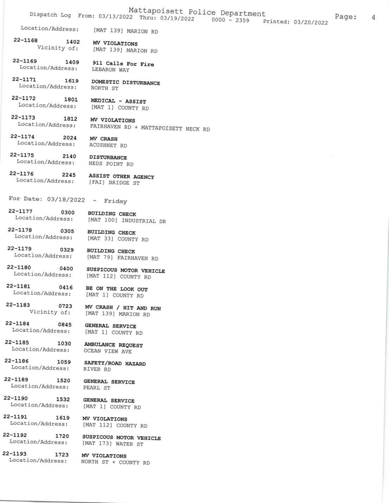Mattapoisett Police Department

Page:

 $\overline{4}$ 

Dispatch Log From: 03/13/2022 Thru: 03/19/2022  $0000 - 2359$ Printed: 03/20/2022

Location/Address: [MAT 139] MARION RD

 $22 - 1168$ 1402 MV VIOLATIONS Vicinity of: [MAT 139] MARION RD

 $22 - 1169$ 1409 911 Calls For Fire Location/Address: LEBARON WAY

 $22 - 1171$ 1619 DOMESTIC DISTURBANCE Location/Address: NORTH ST

22-1172 1801 MEDICAL - ASSIST Location/Address: [MAT 1] COUNTY RD

 $22 - 1173$ 1812 MV VIOLATIONS Location/Address: FAIRHAVEN RD + MATTAPOISETT NECK RD

 $22 - 1174$ 2024 MV CRASH Location/Address: ACUSHNET RD

 $22 - 1175$ 2140 DISTURBANCE Location/Address: NEDS POINT RD

 $22 - 1176$ 2245 ASSIST OTHER AGENCY Location/Address: [FAI] BRIDGE ST

For Date:  $03/18/2022$  - Friday

0845

1030

1059

1532

1520

 $22 - 1177$ 0300 **BUILDING CHECK** Location/Address: [MAT 100] INDUSTRIAL DR

0305  $22 - 1178$ Location/Address: [MAT 33] COUNTY RD

 $22 - 1179$ 0329 BUILDING CHECK

Location/Address:

Location/Address:

Location/Address:

Location/Address:

 $22 - 1180$ 

22-1181

 $22 - 1183$ 

 $22 - 1184$ 

 $22 - 1185$ 

 $22 - 1186$ 

 $22 - 1189$ 

 $22 - 1190$ 

 $22 - 1191$ 

 $22 - 1192$ 

 $22 - 1193$ 

Location/Address: [MAT 79] FAIRHAVEN RD

**BUILDING CHECK** 

0400 SUSPICOUS MOTOR VEHICLE Location/Address: [MAT 112] COUNTY RD

0416 BE ON THE LOOK OUT Location/Address: [MAT 1] COUNTY RD

> 0723 MV CRASH / HIT AND RUN Vicinity of: [MAT 139] MARION RD

> > **GENERAL SERVICE** [MAT 1] COUNTY RD

AMBULANCE REQUEST Location/Address: OCEAN VIEW AVE

> SAFETY/ROAD HAZARD RIVER RD

GENERAL SERVICE PEARL ST

GENERAL SERVICE [MAT 1] COUNTY RD

1619 MV VIOLATIONS Location/Address: [MAT 112] COUNTY RD

1720 SUSPICOUS MOTOR VEHICLE Location/Address: [MAT 173] WATER ST

1723 MV VIOLATIONS Location/Address: NORTH ST + COUNTY RD